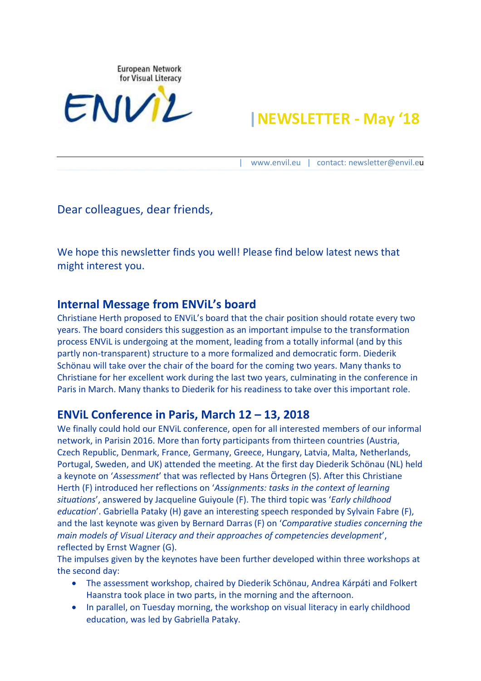

# **|NEWSLETTER - May '18**

| [www.envil.eu](http://www.envil.eu/) | contact: newsletter@envil.eu

Dear colleagues, dear friends,

We hope this newsletter finds you well! Please find below latest news that might interest you.

#### **Internal Message from ENViL's board**

Christiane Herth proposed to ENViL's board that the chair position should rotate every two years. The board considers this suggestion as an important impulse to the transformation process ENViL is undergoing at the moment, leading from a totally informal (and by this partly non-transparent) structure to a more formalized and democratic form. Diederik Schönau will take over the chair of the board for the coming two years. Many thanks to Christiane for her excellent work during the last two years, culminating in the conference in Paris in March. Many thanks to Diederik for his readiness to take over this important role.

#### **ENViL Conference in Paris, March 12 – 13, 2018**

We finally could hold our ENViL conference, open for all interested members of our informal network, in Parisin 2016. More than forty participants from thirteen countries (Austria, Czech Republic, Denmark, France, Germany, Greece, Hungary, Latvia, Malta, Netherlands, Portugal, Sweden, and UK) attended the meeting. At the first day Diederik Schönau (NL) held a keynote on '*Assessment*' that was reflected by Hans Örtegren (S). After this Christiane Herth (F) introduced her reflections on '*Assignments: tasks in the context of learning situations*', answered by Jacqueline Guiyoule (F). The third topic was '*Early childhood education*'. Gabriella Pataky (H) gave an interesting speech responded by Sylvain Fabre (F), and the last keynote was given by Bernard Darras (F) on '*Comparative studies concerning the main models of Visual Literacy and their approaches of competencies development*', reflected by Ernst Wagner (G).

The impulses given by the keynotes have been further developed within three workshops at the second day:

- The assessment workshop, chaired by Diederik Schönau, Andrea Kárpáti and Folkert Haanstra took place in two parts, in the morning and the afternoon.
- In parallel, on Tuesday morning, the workshop on visual literacy in early childhood education, was led by Gabriella Pataky.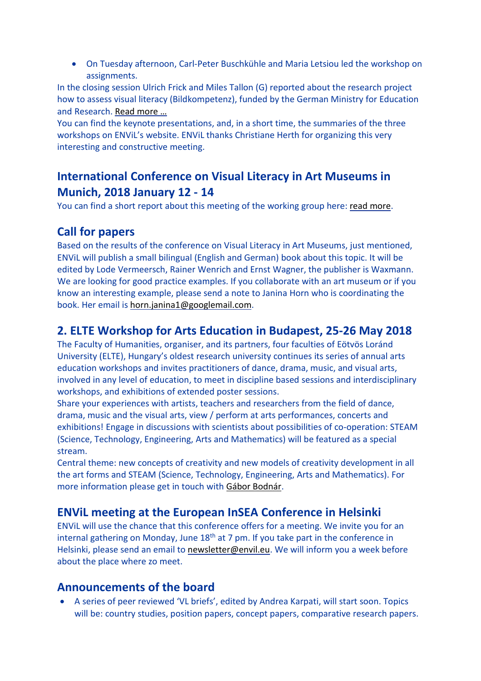On Tuesday afternoon, Carl-Peter Buschkühle and Maria Letsiou led the workshop on assignments.

In the closing session Ulrich Frick and Miles Tallon (G) reported about the research project how to assess visual literacy (Bildkompetenz), funded by the German Ministry for Education and Research. Read [more](http://envil.eu/interim-report-on-the-german-approach-to-quantitative-assessement-of-visual-literacy/) …

You can find the keynote presentations, and, in a short time, the summaries of the three workshops on ENViL's website. ENViL thanks Christiane Herth for organizing this very interesting and constructive meeting.

## **International Conference on Visual Literacy in Art Museums in Munich, 2018 January 12 - 14**

You can find a short report about this meeting of the working group here: read [more.](http://envil.eu/conference-on-visual-literacy-in-art-museums-at-the-pinakothek-der-moderne-munich-2018-january-12-14/)

## **Call for papers**

Based on the results of the conference on Visual Literacy in Art Museums, just mentioned, ENViL will publish a small bilingual (English and German) book about this topic. It will be edited by Lode Vermeersch, Rainer Wenrich and Ernst Wagner, the publisher is Waxmann. We are looking for good practice examples. If you collaborate with an art museum or if you know an interesting example, please send a note to Janina Horn who is coordinating the book. Her email is [horn.janina1@googlemail.com.](mailto:horn.janina1@googlemail.com)

## **2. ELTE Workshop for Arts Education in Budapest, 25-26 May 2018**

The Faculty of Humanities, organiser, and its partners, four faculties of Eötvös Loránd University (ELTE), Hungary's oldest research university continues its series of annual arts education workshops and invites practitioners of dance, drama, music, and visual arts, involved in any level of education, to meet in discipline based sessions and interdisciplinary workshops, and exhibitions of extended poster sessions.

Share your experiences with artists, teachers and researchers from the field of dance, drama, music and the visual arts, view / perform at arts performances, concerts and exhibitions! Engage in discussions with scientists about possibilities of co-operation: STEAM (Science, Technology, Engineering, Arts and Mathematics) will be featured as a special stream.

Central theme: new concepts of creativity and new models of creativity development in all the art forms and STEAM (Science, Technology, Engineering, Arts and Mathematics). For more information please get in touch with Gábor [Bodnár.](mailto:mpk_ewae2018@btk.elte.hu)

## **ENViL meeting at the European InSEA Conference in Helsinki**

ENViL will use the chance that this conference offers for a meeting. We invite you for an internal gathering on Monday, June  $18<sup>th</sup>$  at 7 pm. If you take part in the conference in Helsinki, please send an email to [newsletter@envil.eu.](mailto:newsletter@envil.eu) We will inform you a week before about the place where zo meet.

#### **Announcements of the board**

 A series of peer reviewed 'VL briefs', edited by Andrea Karpati, will start soon. Topics will be: country studies, position papers, concept papers, comparative research papers.